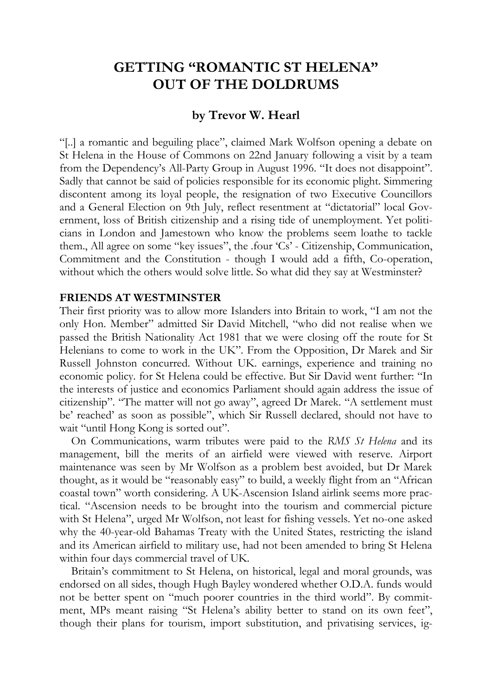# **GETTING "ROMANTIC ST HELENA" OUT OF THE DOLDRUMS**

#### **by Trevor W. Hearl**

"[..] a romantic and beguiling place", claimed Mark Wolfson opening a debate on St Helena in the House of Commons on 22nd January following a visit by a team from the Dependency's All-Party Group in August 1996. "It does not disappoint". Sadly that cannot be said of policies responsible for its economic plight. Simmering discontent among its loyal people, the resignation of two Executive Councillors and a General Election on 9th July, reflect resentment at "dictatorial" local Government, loss of British citizenship and a rising tide of unemployment. Yet politicians in London and Jamestown who know the problems seem loathe to tackle them., All agree on some "key issues", the .four 'Cs' - Citizenship, Communication, Commitment and the Constitution - though I would add a fifth, Co-operation, without which the others would solve little. So what did they say at Westminster?

#### **FRIENDS AT WESTMINSTER**

Their first priority was to allow more Islanders into Britain to work, "I am not the only Hon. Member" admitted Sir David Mitchell, "who did not realise when we passed the British Nationality Act 1981 that we were closing off the route for St Helenians to come to work in the UK". From the Opposition, Dr Marek and Sir Russell Johnston concurred. Without UK. earnings, experience and training no economic policy. for St Helena could be effective. But Sir David went further: "In the interests of justice and economics Parliament should again address the issue of citizenship". "The matter will not go away", agreed Dr Marek. "A settlement must be' reached' as soon as possible", which Sir Russell declared, should not have to wait "until Hong Kong is sorted out".

On Communications, warm tributes were paid to the *RMS St Helena* and its management, bill the merits of an airfield were viewed with reserve. Airport maintenance was seen by Mr Wolfson as a problem best avoided, but Dr Marek thought, as it would be "reasonably easy" to build, a weekly flight from an "African coastal town" worth considering. A UK-Ascension Island airlink seems more practical. "Ascension needs to be brought into the tourism and commercial picture with St Helena", urged Mr Wolfson, not least for fishing vessels. Yet no-one asked why the 40-year-old Bahamas Treaty with the United States, restricting the island and its American airfield to military use, had not been amended to bring St Helena within four days commercial travel of UK.

Britain's commitment to St Helena, on historical, legal and moral grounds, was endorsed on all sides, though Hugh Bayley wondered whether O.D.A. funds would not be better spent on "much poorer countries in the third world". By commitment, MPs meant raising "St Helena's ability better to stand on its own feet", though their plans for tourism, import substitution, and privatising services, ig-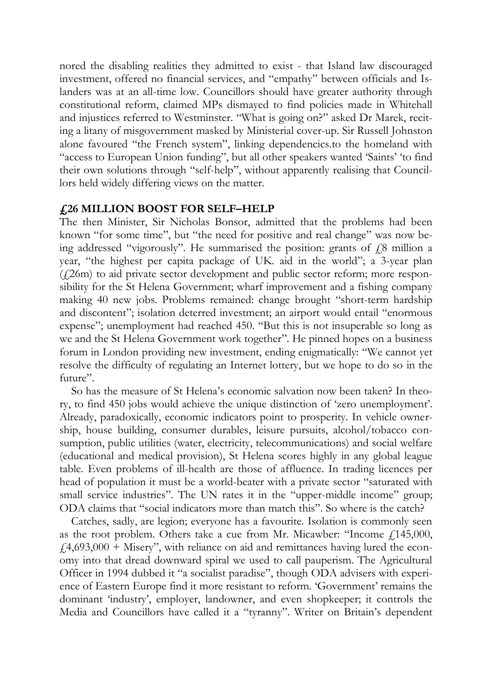nored the disabling realities they admitted to exist - that Island law discouraged investment, offered no financial services, and "empathy" between officials and Islanders was at an all-time low. Councillors should have greater authority through constitutional reform, claimed MPs dismayed to find policies made in Whitehall and injustices referred to Westminster. "What is going on?" asked Dr Marek, reciting a litany of misgovernment masked by Ministerial cover-up. Sir Russell Johnston alone favoured "the French system", linking dependencics.to the homeland with "access to European Union funding", but all other speakers wanted 'Saints' 'to find their own solutions through "self-help", without apparently realising that Councillors held widely differing views on the matter.

#### **£26 MILLION BOOST FOR SELF–HELP**

The then Minister, Sir Nicholas Bonsor, admitted that the problems had been known "for some time", but "the need for positive and real change" was now being addressed "vigorously". He summarised the position: grants of  $\ell$ 8 million a year, "the highest per capita package of UK. aid in the world"; a 3-year plan (£26m) to aid private sector development and public sector reform; more responsibility for the St Helena Government; wharf improvement and a fishing company making 40 new jobs. Problems remained: change brought "short-term hardship and discontent"; isolation deterred investment; an airport would entail "enormous expense"; unemployment had reached 450. "But this is not insuperable so long as we and the St Helena Government work together". He pinned hopes on a business forum in London providing new investment, ending enigmatically: "We cannot yet resolve the difficulty of regulating an Internet lottery, but we hope to do so in the future"

So has the measure of St Helena's economic salvation now been taken? In theory, to find 450 jobs would achieve the unique distinction of 'zero unemployment'. Already, paradoxically, economic indicators point to prosperity. In vehicle ownership, house building, consumer durables, leisure pursuits, alcohol/tobacco consumption, public utilities (water, electricity, telecommunications) and social welfare (educational and medical provision), St Helena scores highly in any global league table. Even problems of ill-health are those of affluence. In trading licences per head of population it must be a world-beater with a private sector "saturated with small service industries". The UN rates it in the "upper-middle income" group; ODA claims that "social indicators more than match this". So where is the catch?

Catches, sadly, are legion; everyone has a favourite. Isolation is commonly seen as the root problem. Others take a cue from Mr. Micawber: "Income  $f$  145,000,  $f(4,693,000 +$  Misery", with reliance on aid and remittances having lured the economy into that dread downward spiral we used to call pauperism. The Agricultural Officer in 1994 dubbed it "a socialist paradise", though ODA advisers with experience of Eastern Europe find it more resistant to reform. 'Government' remains the dominant 'industry', employer, landowner, and even shopkeeper; it controls the Media and Councillors have called it a "tyranny". Writer on Britain's dependent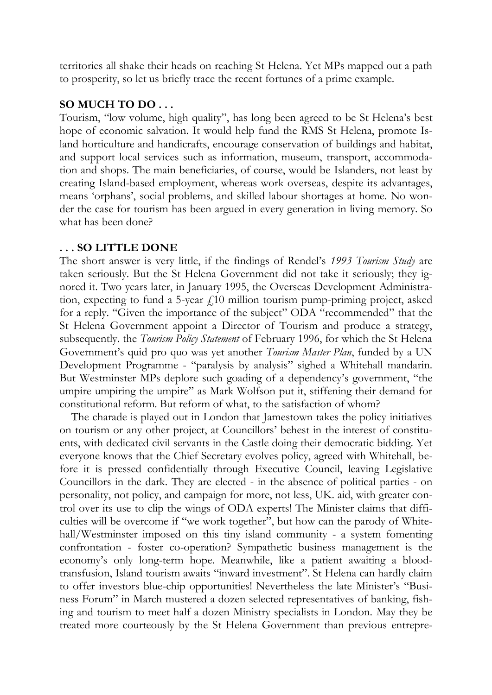territories all shake their heads on reaching St Helena. Yet MPs mapped out a path to prosperity, so let us briefly trace the recent fortunes of a prime example.

### **SO MUCH TO DO . . .**

Tourism, "low volume, high quality", has long been agreed to be St Helena's best hope of economic salvation. It would help fund the RMS St Helena, promote Island horticulture and handicrafts, encourage conservation of buildings and habitat, and support local services such as information, museum, transport, accommodation and shops. The main beneficiaries, of course, would be Islanders, not least by creating Island-based employment, whereas work overseas, despite its advantages, means 'orphans', social problems, and skilled labour shortages at home. No wonder the case for tourism has been argued in every generation in living memory. So what has been done?

## **. . . SO LITTLE DONE**

The short answer is very little, if the findings of Rendel's *1993 Tourism Study* are taken seriously. But the St Helena Government did not take it seriously; they ignored it. Two years later, in January 1995, the Overseas Development Administration, expecting to fund a 5-year  $f(10)$  million tourism pump-priming project, asked for a reply. "Given the importance of the subject" ODA "recommended" that the St Helena Government appoint a Director of Tourism and produce a strategy, subsequently. the *Tourism Policy Statement* of February 1996, for which the St Helena Government's quid pro quo was yet another *Tourism Master Plan*, funded by a UN Development Programme - "paralysis by analysis" sighed a Whitehall mandarin. But Westminster MPs deplore such goading of a dependency's government, "the umpire umpiring the umpire" as Mark Wolfson put it, stiffening their demand for constitutional reform. But reform of what, to the satisfaction of whom?

The charade is played out in London that Jamestown takes the policy initiatives on tourism or any other project, at Councillors' behest in the interest of constituents, with dedicated civil servants in the Castle doing their democratic bidding. Yet everyone knows that the Chief Secretary evolves policy, agreed with Whitehall, before it is pressed confidentially through Executive Council, leaving Legislative Councillors in the dark. They are elected - in the absence of political parties - on personality, not policy, and campaign for more, not less, UK. aid, with greater control over its use to clip the wings of ODA experts! The Minister claims that difficulties will be overcome if "we work together", but how can the parody of Whitehall/Westminster imposed on this tiny island community - a system fomenting confrontation - foster co-operation? Sympathetic business management is the economy's only long-term hope. Meanwhile, like a patient awaiting a bloodtransfusion, Island tourism awaits "inward investment". St Helena can hardly claim to offer investors blue-chip opportunities! Nevertheless the late Minister's "Business Forum" in March mustered a dozen selected representatives of banking, fishing and tourism to meet half a dozen Ministry specialists in London. May they be treated more courteously by the St Helena Government than previous entrepre-